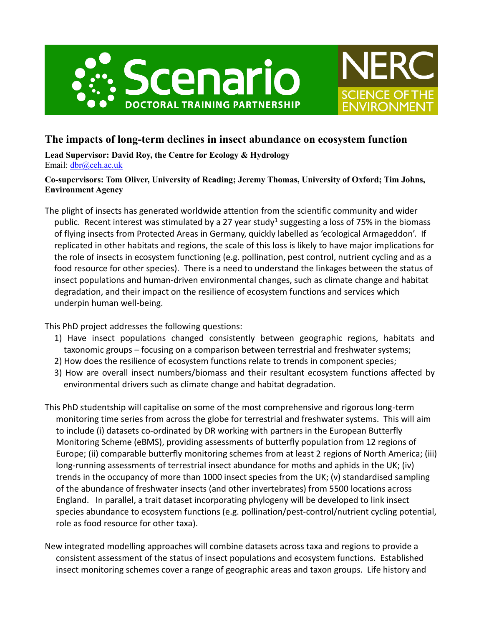



# **The impacts of long-term declines in insect abundance on ecosystem function**

**Lead Supervisor: David Roy, the Centre for Ecology & Hydrology** Email: [dbr@ceh.ac.uk](mailto:dbr@ceh.ac.uk)

## **Co-supervisors: Tom Oliver, University of Reading; Jeremy Thomas, University of Oxford; Tim Johns, Environment Agency**

The plight of insects has generated worldwide attention from the scientific community and wider public. Recent interest was stimulated by a 27 year study<sup>1</sup> suggesting a loss of 75% in the biomass of flying insects from Protected Areas in Germany, quickly labelled as 'ecological Armageddon'. If replicated in other habitats and regions, the scale of this loss is likely to have major implications for the role of insects in ecosystem functioning (e.g. pollination, pest control, nutrient cycling and as a food resource for other species). There is a need to understand the linkages between the status of insect populations and human-driven environmental changes, such as climate change and habitat degradation, and their impact on the resilience of ecosystem functions and services which underpin human well-being.

This PhD project addresses the following questions:

- 1) Have insect populations changed consistently between geographic regions, habitats and taxonomic groups – focusing on a comparison between terrestrial and freshwater systems;
- 2) How does the resilience of ecosystem functions relate to trends in component species;
- 3) How are overall insect numbers/biomass and their resultant ecosystem functions affected by environmental drivers such as climate change and habitat degradation.
- This PhD studentship will capitalise on some of the most comprehensive and rigorous long-term monitoring time series from across the globe for terrestrial and freshwater systems. This will aim to include (i) datasets co-ordinated by DR working with partners in the European Butterfly Monitoring Scheme (eBMS), providing assessments of butterfly population from 12 regions of Europe; (ii) comparable butterfly monitoring schemes from at least 2 regions of North America; (iii) long-running assessments of terrestrial insect abundance for moths and aphids in the UK; (iv) trends in the occupancy of more than 1000 insect species from the UK; (v) standardised sampling of the abundance of freshwater insects (and other invertebrates) from 5500 locations across England. In parallel, a trait dataset incorporating phylogeny will be developed to link insect species abundance to ecosystem functions (e.g. pollination/pest-control/nutrient cycling potential, role as food resource for other taxa).
- New integrated modelling approaches will combine datasets across taxa and regions to provide a consistent assessment of the status of insect populations and ecosystem functions. Established insect monitoring schemes cover a range of geographic areas and taxon groups. Life history and